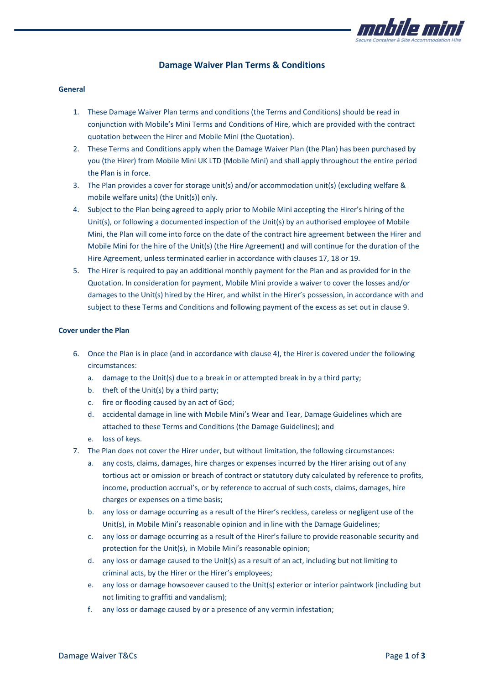

# **Damage Waiver Plan Terms & Conditions**

#### **General**

- 1. These Damage Waiver Plan terms and conditions (the Terms and Conditions) should be read in conjunction with Mobile's Mini Terms and Conditions of Hire, which are provided with the contract quotation between the Hirer and Mobile Mini (the Quotation).
- 2. These Terms and Conditions apply when the Damage Waiver Plan (the Plan) has been purchased by you (the Hirer) from Mobile Mini UK LTD (Mobile Mini) and shall apply throughout the entire period the Plan is in force.
- 3. The Plan provides a cover for storage unit(s) and/or accommodation unit(s) (excluding welfare & mobile welfare units) (the Unit(s)) only.
- 4. Subject to the Plan being agreed to apply prior to Mobile Mini accepting the Hirer's hiring of the Unit(s), or following a documented inspection of the Unit(s) by an authorised employee of Mobile Mini, the Plan will come into force on the date of the contract hire agreement between the Hirer and Mobile Mini for the hire of the Unit(s) (the Hire Agreement) and will continue for the duration of the Hire Agreement, unless terminated earlier in accordance with clauses 17, 18 or 19.
- 5. The Hirer is required to pay an additional monthly payment for the Plan and as provided for in the Quotation. In consideration for payment, Mobile Mini provide a waiver to cover the losses and/or damages to the Unit(s) hired by the Hirer, and whilst in the Hirer's possession, in accordance with and subject to these Terms and Conditions and following payment of the excess as set out in clause 9.

#### **Cover under the Plan**

- 6. Once the Plan is in place (and in accordance with clause 4), the Hirer is covered under the following circumstances:
	- a. damage to the Unit(s) due to a break in or attempted break in by a third party;
	- b. theft of the Unit(s) by a third party;
	- c. fire or flooding caused by an act of God;
	- d. accidental damage in line with Mobile Mini's Wear and Tear, Damage Guidelines which are attached to these Terms and Conditions (the Damage Guidelines); and
	- e. loss of keys.
- 7. The Plan does not cover the Hirer under, but without limitation, the following circumstances:
	- a. any costs, claims, damages, hire charges or expenses incurred by the Hirer arising out of any tortious act or omission or breach of contract or statutory duty calculated by reference to profits, income, production accrual's, or by reference to accrual of such costs, claims, damages, hire charges or expenses on a time basis;
	- b. any loss or damage occurring as a result of the Hirer's reckless, careless or negligent use of the Unit(s), in Mobile Mini's reasonable opinion and in line with the Damage Guidelines;
	- c. any loss or damage occurring as a result of the Hirer's failure to provide reasonable security and protection for the Unit(s), in Mobile Mini's reasonable opinion;
	- d. any loss or damage caused to the Unit(s) as a result of an act, including but not limiting to criminal acts, by the Hirer or the Hirer's employees;
	- e. any loss or damage howsoever caused to the Unit(s) exterior or interior paintwork (including but not limiting to graffiti and vandalism);
	- f. any loss or damage caused by or a presence of any vermin infestation;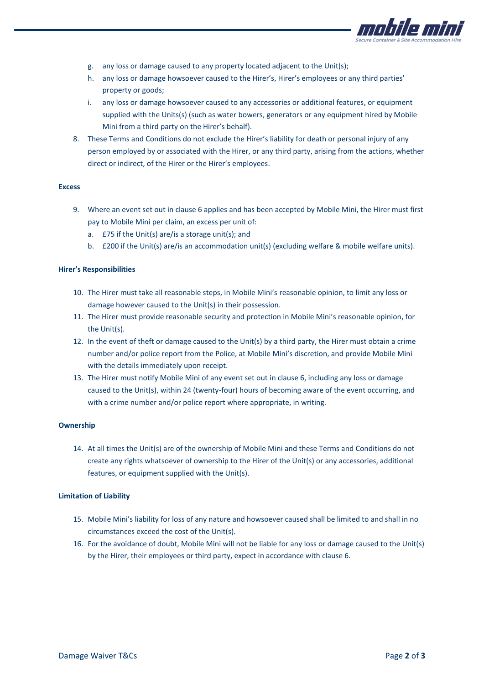

- g. any loss or damage caused to any property located adjacent to the Unit(s);
- h. any loss or damage howsoever caused to the Hirer's, Hirer's employees or any third parties' property or goods;
- i. any loss or damage howsoever caused to any accessories or additional features, or equipment supplied with the Units(s) (such as water bowers, generators or any equipment hired by Mobile Mini from a third party on the Hirer's behalf).
- 8. These Terms and Conditions do not exclude the Hirer's liability for death or personal injury of any person employed by or associated with the Hirer, or any third party, arising from the actions, whether direct or indirect, of the Hirer or the Hirer's employees.

## **Excess**

- 9. Where an event set out in clause 6 applies and has been accepted by Mobile Mini, the Hirer must first pay to Mobile Mini per claim, an excess per unit of:
	- a. £75 if the Unit(s) are/is a storage unit(s); and
	- b. £200 if the Unit(s) are/is an accommodation unit(s) (excluding welfare & mobile welfare units).

## **Hirer's Responsibilities**

- 10. The Hirer must take all reasonable steps, in Mobile Mini's reasonable opinion, to limit any loss or damage however caused to the Unit(s) in their possession.
- 11. The Hirer must provide reasonable security and protection in Mobile Mini's reasonable opinion, for the Unit(s).
- 12. In the event of theft or damage caused to the Unit(s) by a third party, the Hirer must obtain a crime number and/or police report from the Police, at Mobile Mini's discretion, and provide Mobile Mini with the details immediately upon receipt.
- 13. The Hirer must notify Mobile Mini of any event set out in clause 6, including any loss or damage caused to the Unit(s), within 24 (twenty-four) hours of becoming aware of the event occurring, and with a crime number and/or police report where appropriate, in writing.

#### **Ownership**

14. At all times the Unit(s) are of the ownership of Mobile Mini and these Terms and Conditions do not create any rights whatsoever of ownership to the Hirer of the Unit(s) or any accessories, additional features, or equipment supplied with the Unit(s).

#### **Limitation of Liability**

- 15. Mobile Mini's liability for loss of any nature and howsoever caused shall be limited to and shall in no circumstances exceed the cost of the Unit(s).
- 16. For the avoidance of doubt, Mobile Mini will not be liable for any loss or damage caused to the Unit(s) by the Hirer, their employees or third party, expect in accordance with clause 6.